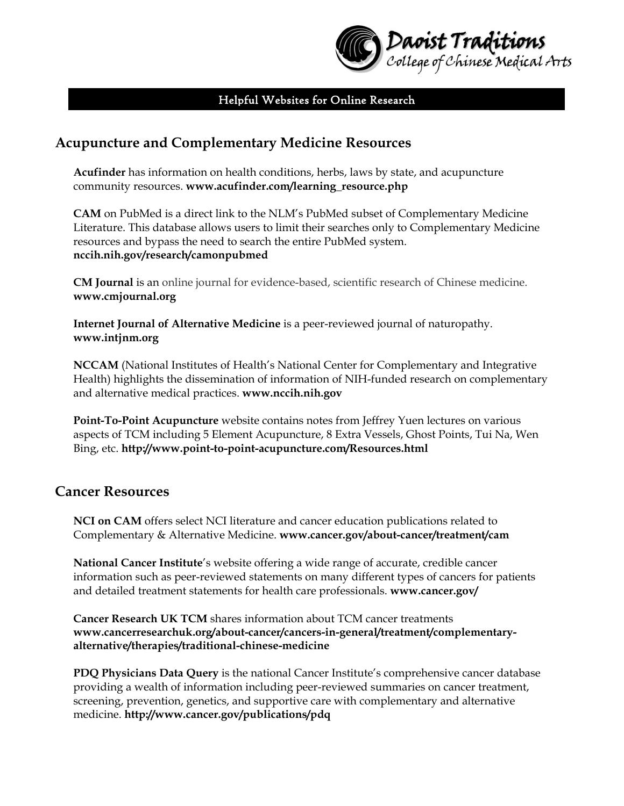

#### Helpful Websites for Online Research

## **Acupuncture and Complementary Medicine Resources**

**Acufinder** has information on health conditions, herbs, laws by state, and acupuncture community resources. **www.acufinder.com/learning\_resource.php** 

**CAM** on PubMed is a direct link to the NLM's PubMed subset of Complementary Medicine Literature. This database allows users to limit their searches only to Complementary Medicine resources and bypass the need to search the entire PubMed system. **nccih.nih.gov/research/camonpubmed**

**CM Journal** is an online journal for evidence-based, scientific research of Chinese medicine. **www.cmjournal.org** 

**Internet Journal of Alternative Medicine** is a peer-reviewed journal of naturopathy. **www.intjnm.org**

**NCCAM** (National Institutes of Health's National Center for Complementary and Integrative Health) highlights the dissemination of information of NIH-funded research on complementary and alternative medical practices. **www.nccih.nih.gov** 

**Point-To-Point Acupuncture** website contains notes from Jeffrey Yuen lectures on various aspects of TCM including 5 Element Acupuncture, 8 Extra Vessels, Ghost Points, Tui Na, Wen Bing, etc. **http://www.point-to-point-acupuncture.com/Resources.html**

#### **Cancer Resources**

**NCI on CAM** offers select NCI literature and cancer education publications related to Complementary & Alternative Medicine. **www.cancer.gov/about-cancer/treatment/cam**

**National Cancer Institute**'s website offering a wide range of accurate, credible cancer information such as peer-reviewed statements on many different types of cancers for patients and detailed treatment statements for health care professionals. **www.cancer.gov/**

**Cancer Research UK TCM** shares information about TCM cancer treatments **www.cancerresearchuk.org/about-cancer/cancers-in-general/treatment/complementaryalternative/therapies/traditional-chinese-medicine** 

**PDQ Physicians Data Query** is the national Cancer Institute's comprehensive cancer database providing a wealth of information including peer-reviewed summaries on cancer treatment, screening, prevention, genetics, and supportive care with complementary and alternative medicine. **http://www.cancer.gov/publications/pdq**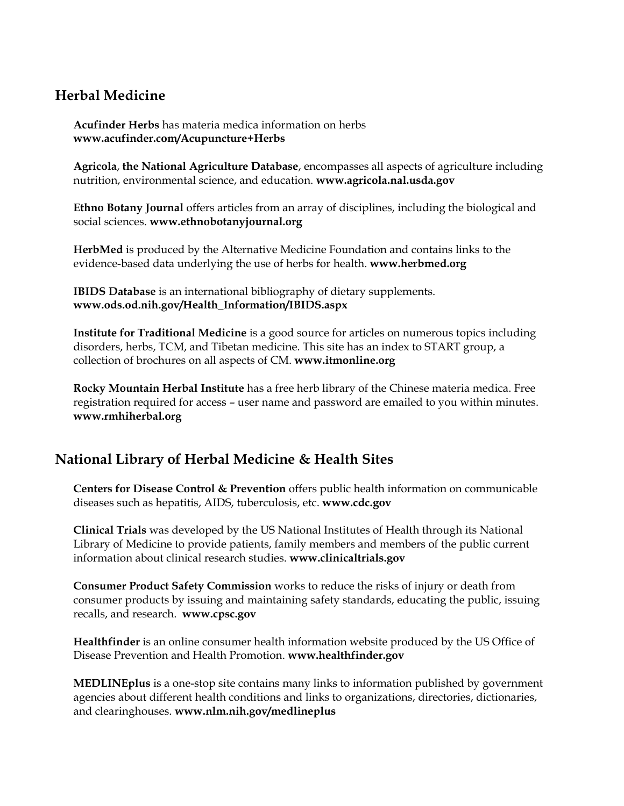# **Herbal Medicine**

**Acufinder Herbs** has materia medica information on herbs **www.acufinder.com/Acupuncture+Herbs** 

**Agricola**, **the National Agriculture Database**, encompasses all aspects of agriculture including nutrition, environmental science, and education. **www.agricola.nal.usda.gov**

**Ethno Botany Journal** offers articles from an array of disciplines, including the biological and social sciences. **www.ethnobotanyjournal.org**

**HerbMed** is produced by the Alternative Medicine Foundation and contains links to the evidence-based data underlying the use of herbs for health. **www.herbmed.org**

**IBIDS Database** is an international bibliography of dietary supplements. **www.ods.od.nih.gov/Health\_Information/IBIDS.aspx**

**Institute for Traditional Medicine** is a good source for articles on numerous topics including disorders, herbs, TCM, and Tibetan medicine. This site has an index to START group, a collection of brochures on all aspects of CM. **www.itmonline.org**

**Rocky Mountain Herbal Institute** has a free herb library of the Chinese materia medica. Free registration required for access – user name and password are emailed to you within minutes. **www.rmhiherbal.org**

## **National Library of Herbal Medicine & Health Sites**

**Centers for Disease Control & Prevention** offers public health information on communicable diseases such as hepatitis, AIDS, tuberculosis, etc. **www.cdc.gov**

**Clinical Trials** was developed by the US National Institutes of Health through its National Library of Medicine to provide patients, family members and members of the public current information about clinical research studies. **www.clinicaltrials.gov**

**Consumer Product Safety Commission** works to reduce the risks of injury or death from consumer products by issuing and maintaining safety standards, educating the public, issuing recalls, and research. **www.cpsc.gov** 

**Healthfinder** is an online consumer health information website produced by the US Office of Disease Prevention and Health Promotion. **www.healthfinder.gov**

**MEDLINEplus** is a one-stop site contains many links to information published by government agencies about different health conditions and links to organizations, directories, dictionaries, and clearinghouses. **www.nlm.nih.gov/medlineplus**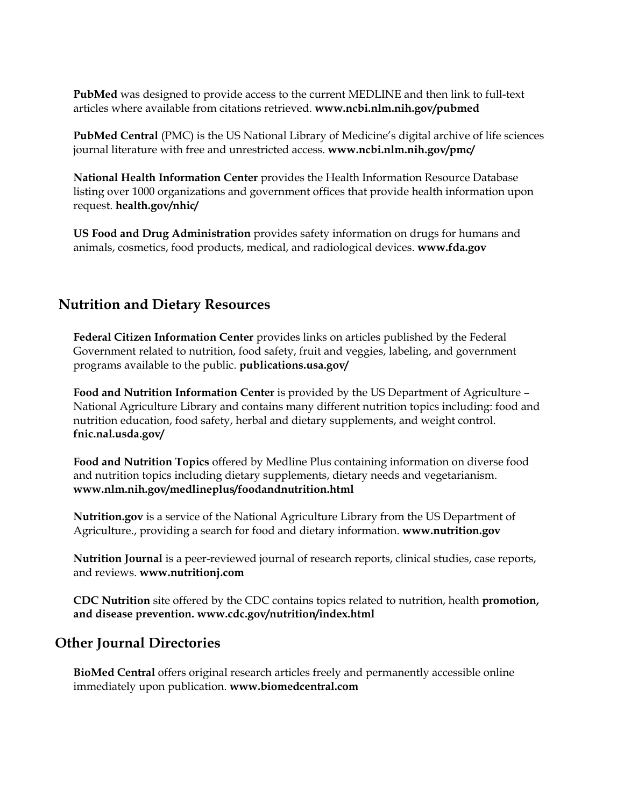**PubMed** was designed to provide access to the current MEDLINE and then link to full-text articles where available from citations retrieved. **www.ncbi.nlm.nih.gov/pubmed**

**PubMed Central** (PMC) is the US National Library of Medicine's digital archive of life sciences journal literature with free and unrestricted access. **www.ncbi.nlm.nih.gov/pmc/**

**National Health Information Center** provides the Health Information Resource Database listing over 1000 organizations and government offices that provide health information upon request. **health.gov/nhic/**

**US Food and Drug Administration** provides safety information on drugs for humans and animals, cosmetics, food products, medical, and radiological devices. **www.fda.gov**

# **Nutrition and Dietary Resources**

**Federal Citizen Information Center** provides links on articles published by the Federal Government related to nutrition, food safety, fruit and veggies, labeling, and government programs available to the public. **publications.usa.gov/**

**Food and Nutrition Information Center** is provided by the US Department of Agriculture – National Agriculture Library and contains many different nutrition topics including: food and nutrition education, food safety, herbal and dietary supplements, and weight control. **fnic.nal.usda.gov/**

**Food and Nutrition Topics** offered by Medline Plus containing information on diverse food and nutrition topics including dietary supplements, dietary needs and vegetarianism. **www.nlm.nih.gov/medlineplus/foodandnutrition.html**

**Nutrition.gov** is a service of the National Agriculture Library from the US Department of Agriculture., providing a search for food and dietary information. **www.nutrition.gov**

**Nutrition Journal** is a peer-reviewed journal of research reports, clinical studies, case reports, and reviews. **www.nutritionj.com**

**CDC Nutrition** site offered by the CDC contains topics related to nutrition, health **promotion, and disease prevention. www.cdc.gov/nutrition/index.html**

## **Other Journal Directories**

**BioMed Central** offers original research articles freely and permanently accessible online immediately upon publication. **www.biomedcentral.com**